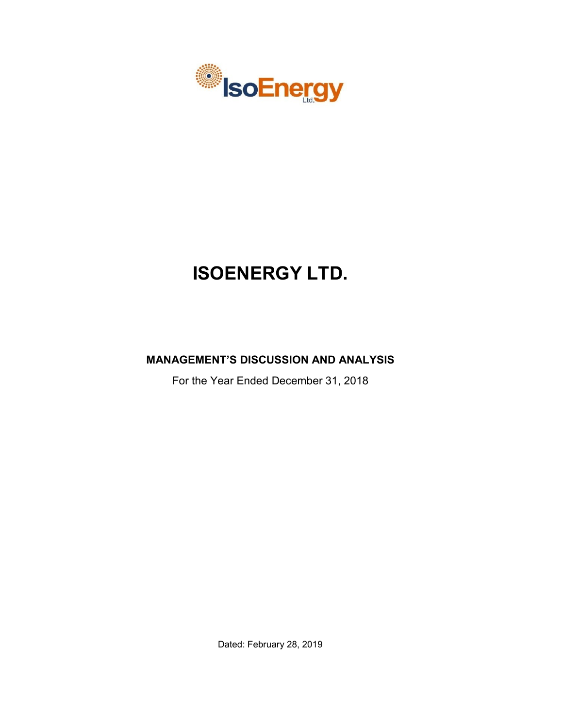

# **ISOENERGY LTD.**

## **MANAGEMENT'S DISCUSSION AND ANALYSIS**

For the Year Ended December 31, 2018

Dated: February 28, 2019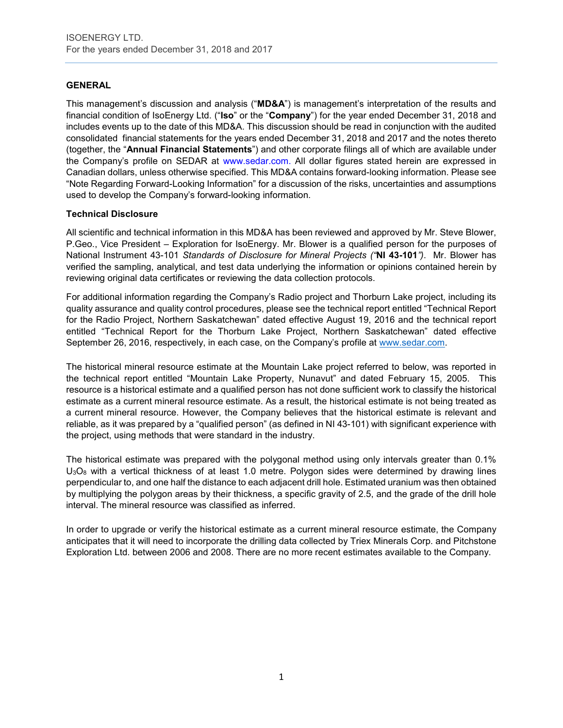## **GENERAL**

This management's discussion and analysis ("**MD&A**") is management's interpretation of the results and financial condition of IsoEnergy Ltd. ("**Iso**" or the "**Company**") for the year ended December 31, 2018 and includes events up to the date of this MD&A. This discussion should be read in conjunction with the audited consolidated financial statements for the years ended December 31, 2018 and 2017 and the notes thereto (together, the "**Annual Financial Statements**") and other corporate filings all of which are available under the Company's profile on SEDAR at www.sedar.com. All dollar figures stated herein are expressed in Canadian dollars, unless otherwise specified. This MD&A contains forward-looking information. Please see "Note Regarding Forward-Looking Information" for a discussion of the risks, uncertainties and assumptions used to develop the Company's forward-looking information.

## **Technical Disclosure**

All scientific and technical information in this MD&A has been reviewed and approved by Mr. Steve Blower, P.Geo., Vice President – Exploration for IsoEnergy. Mr. Blower is a qualified person for the purposes of National Instrument 43-101 *Standards of Disclosure for Mineral Projects ("***NI 43-101***")*. Mr. Blower has verified the sampling, analytical, and test data underlying the information or opinions contained herein by reviewing original data certificates or reviewing the data collection protocols.

For additional information regarding the Company's Radio project and Thorburn Lake project, including its quality assurance and quality control procedures, please see the technical report entitled "Technical Report for the Radio Project, Northern Saskatchewan" dated effective August 19, 2016 and the technical report entitled "Technical Report for the Thorburn Lake Project, Northern Saskatchewan" dated effective September 26, 2016, respectively, in each case, on the Company's profile at [www.sedar.com.](http://www.sedar.com/)

The historical mineral resource estimate at the Mountain Lake project referred to below, was reported in the technical report entitled "Mountain Lake Property, Nunavut" and dated February 15, 2005. This resource is a historical estimate and a qualified person has not done sufficient work to classify the historical estimate as a current mineral resource estimate. As a result, the historical estimate is not being treated as a current mineral resource. However, the Company believes that the historical estimate is relevant and reliable, as it was prepared by a "qualified person" (as defined in NI 43-101) with significant experience with the project, using methods that were standard in the industry.

The historical estimate was prepared with the polygonal method using only intervals greater than 0.1%  $U_3O_8$  with a vertical thickness of at least 1.0 metre. Polygon sides were determined by drawing lines perpendicular to, and one half the distance to each adjacent drill hole. Estimated uranium was then obtained by multiplying the polygon areas by their thickness, a specific gravity of 2.5, and the grade of the drill hole interval. The mineral resource was classified as inferred.

In order to upgrade or verify the historical estimate as a current mineral resource estimate, the Company anticipates that it will need to incorporate the drilling data collected by Triex Minerals Corp. and Pitchstone Exploration Ltd. between 2006 and 2008. There are no more recent estimates available to the Company.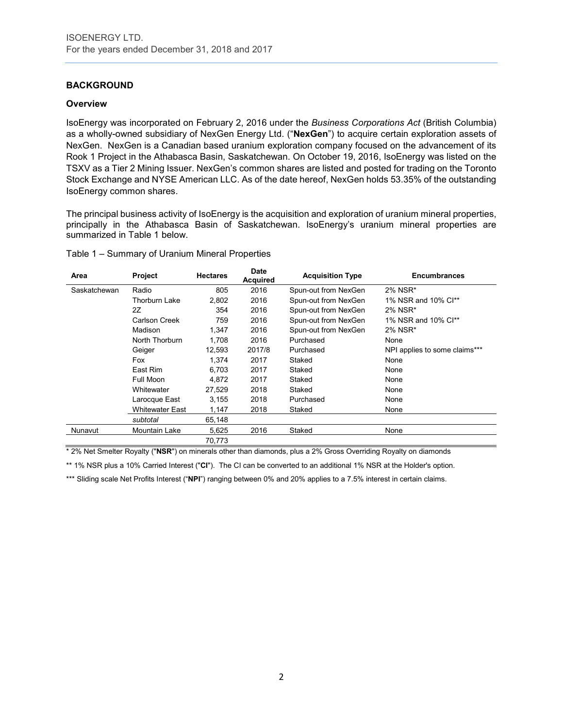## **BACKGROUND**

#### **Overview**

IsoEnergy was incorporated on February 2, 2016 under the *Business Corporations Act* (British Columbia) as a wholly-owned subsidiary of NexGen Energy Ltd. ("**NexGen**") to acquire certain exploration assets of NexGen. NexGen is a Canadian based uranium exploration company focused on the advancement of its Rook 1 Project in the Athabasca Basin, Saskatchewan. On October 19, 2016, IsoEnergy was listed on the TSXV as a Tier 2 Mining Issuer. NexGen's common shares are listed and posted for trading on the Toronto Stock Exchange and NYSE American LLC. As of the date hereof, NexGen holds 53.35% of the outstanding IsoEnergy common shares.

The principal business activity of IsoEnergy is the acquisition and exploration of uranium mineral properties, principally in the Athabasca Basin of Saskatchewan. IsoEnergy's uranium mineral properties are summarized in Table 1 below.

| Table 1 - Summary of Uranium Mineral Properties |  |  |  |  |  |
|-------------------------------------------------|--|--|--|--|--|
|-------------------------------------------------|--|--|--|--|--|

| Area         | <b>Project</b>         | <b>Hectares</b> | <b>Date</b><br><b>Acquired</b> | <b>Acquisition Type</b> | <b>Encumbrances</b>           |
|--------------|------------------------|-----------------|--------------------------------|-------------------------|-------------------------------|
| Saskatchewan | Radio                  | 805             | 2016                           | Spun-out from NexGen    | 2% NSR*                       |
|              | <b>Thorburn Lake</b>   | 2,802           | 2016                           | Spun-out from NexGen    | 1% NSR and 10% Cl**           |
|              | 2Z                     | 354             | 2016                           | Spun-out from NexGen    | 2% NSR*                       |
|              | Carlson Creek          | 759             | 2016                           | Spun-out from NexGen    | 1% NSR and 10% Cl**           |
|              | Madison                | 1,347           | 2016                           | Spun-out from NexGen    | 2% NSR*                       |
|              | North Thorburn         | 1.708           | 2016                           | Purchased               | None                          |
|              | Geiger                 | 12,593          | 2017/8                         | Purchased               | NPI applies to some claims*** |
|              | Fox                    | 1.374           | 2017                           | Staked                  | None                          |
|              | East Rim               | 6.703           | 2017                           | Staked                  | None                          |
|              | Full Moon              | 4,872           | 2017                           | Staked                  | None                          |
|              | Whitewater             | 27,529          | 2018                           | Staked                  | None                          |
|              | Larocque East          | 3,155           | 2018                           | Purchased               | None                          |
|              | <b>Whitewater East</b> | 1,147           | 2018                           | Staked                  | None                          |
|              | subtotal               | 65,148          |                                |                         |                               |
| Nunavut      | Mountain Lake          | 5,625           | 2016                           | Staked                  | None                          |
|              |                        | 70,773          |                                |                         |                               |

\* 2% Net Smelter Royalty ("**NSR**") on minerals other than diamonds, plus a 2% Gross Overriding Royalty on diamonds

\*\* 1% NSR plus a 10% Carried Interest ("**CI**"). The CI can be converted to an additional 1% NSR at the Holder's option.

\*\*\* Sliding scale Net Profits Interest ("NPI") ranging between 0% and 20% applies to a 7.5% interest in certain claims.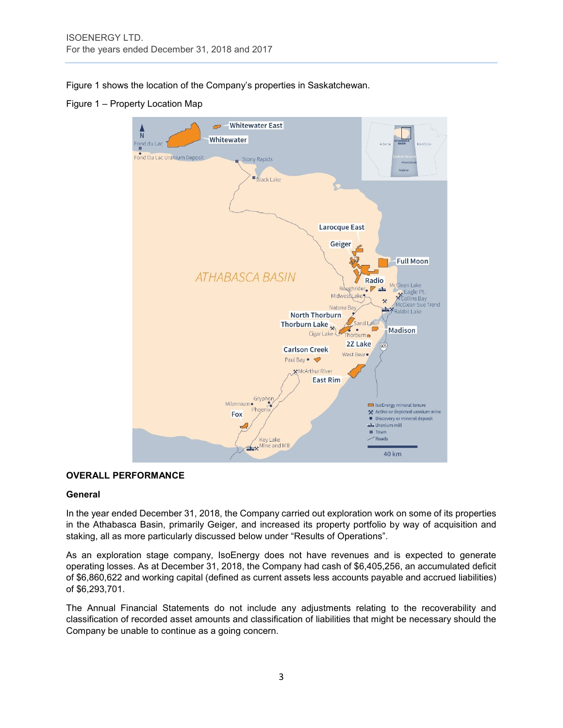Figure 1 shows the location of the Company's properties in Saskatchewan.

Figure 1 – Property Location Map



## **OVERALL PERFORMANCE**

#### **General**

In the year ended December 31, 2018, the Company carried out exploration work on some of its properties in the Athabasca Basin, primarily Geiger, and increased its property portfolio by way of acquisition and staking, all as more particularly discussed below under "Results of Operations".

As an exploration stage company, IsoEnergy does not have revenues and is expected to generate operating losses. As at December 31, 2018, the Company had cash of \$6,405,256, an accumulated deficit of \$6,860,622 and working capital (defined as current assets less accounts payable and accrued liabilities) of \$6,293,701.

The Annual Financial Statements do not include any adjustments relating to the recoverability and classification of recorded asset amounts and classification of liabilities that might be necessary should the Company be unable to continue as a going concern.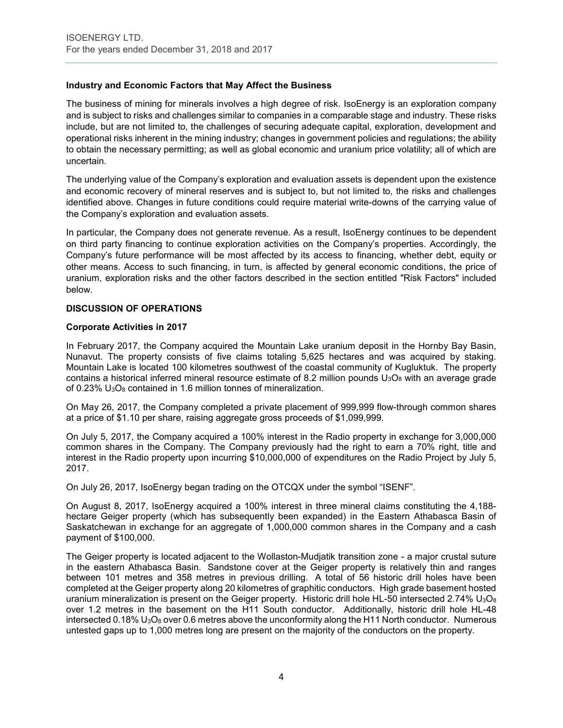## **Industry and Economic Factors that May Affect the Business**

The business of mining for minerals involves a high degree of risk. IsoEnergy is an exploration company and is subject to risks and challenges similar to companies in a comparable stage and industry. These risks include, but are not limited to, the challenges of securing adequate capital, exploration, development and operational risks inherent in the mining industry; changes in government policies and regulations; the ability to obtain the necessary permitting; as well as global economic and uranium price volatility; all of which are uncertain.

The underlying value of the Company's exploration and evaluation assets is dependent upon the existence and economic recovery of mineral reserves and is subject to, but not limited to, the risks and challenges identified above. Changes in future conditions could require material write-downs of the carrying value of the Company's exploration and evaluation assets.

In particular, the Company does not generate revenue. As a result, IsoEnergy continues to be dependent on third party financing to continue exploration activities on the Company's properties. Accordingly, the Company's future performance will be most affected by its access to financing, whether debt, equity or other means. Access to such financing, in turn, is affected by general economic conditions, the price of uranium, exploration risks and the other factors described in the section entitled "Risk Factors" included below.

### **DISCUSSION OF OPERATIONS**

#### **Corporate Activities in 2017**

In February 2017, the Company acquired the Mountain Lake uranium deposit in the Hornby Bay Basin, Nunavut. The property consists of five claims totaling 5,625 hectares and was acquired by staking. Mountain Lake is located 100 kilometres southwest of the coastal community of Kugluktuk. The property contains a historical inferred mineral resource estimate of 8.2 million pounds  $U_3O_8$  with an average grade of 0.23% U<sub>3</sub>O<sub>8</sub> contained in 1.6 million tonnes of mineralization.

On May 26, 2017, the Company completed a private placement of 999,999 flow-through common shares at a price of \$1.10 per share, raising aggregate gross proceeds of \$1,099,999.

On July 5, 2017, the Company acquired a 100% interest in the Radio property in exchange for 3,000,000 common shares in the Company. The Company previously had the right to earn a 70% right, title and interest in the Radio property upon incurring \$10,000,000 of expenditures on the Radio Project by July 5, 2017.

On July 26, 2017, IsoEnergy began trading on the OTCQX under the symbol "ISENF".

On August 8, 2017, IsoEnergy acquired a 100% interest in three mineral claims constituting the 4,188 hectare Geiger property (which has subsequently been expanded) in the Eastern Athabasca Basin of Saskatchewan in exchange for an aggregate of 1,000,000 common shares in the Company and a cash payment of \$100,000.

The Geiger property is located adjacent to the Wollaston-Mudjatik transition zone - a major crustal suture in the eastern Athabasca Basin. Sandstone cover at the Geiger property is relatively thin and ranges between 101 metres and 358 metres in previous drilling. A total of 56 historic drill holes have been completed at the Geiger property along 20 kilometres of graphitic conductors. High grade basement hosted uranium mineralization is present on the Geiger property. Historic drill hole HL-50 intersected 2.74%  $U_3O_8$ over 1.2 metres in the basement on the H11 South conductor. Additionally, historic drill hole HL-48 intersected  $0.18\%$  U<sub>3</sub>O<sub>8</sub> over 0.6 metres above the unconformity along the H11 North conductor. Numerous untested gaps up to 1,000 metres long are present on the majority of the conductors on the property.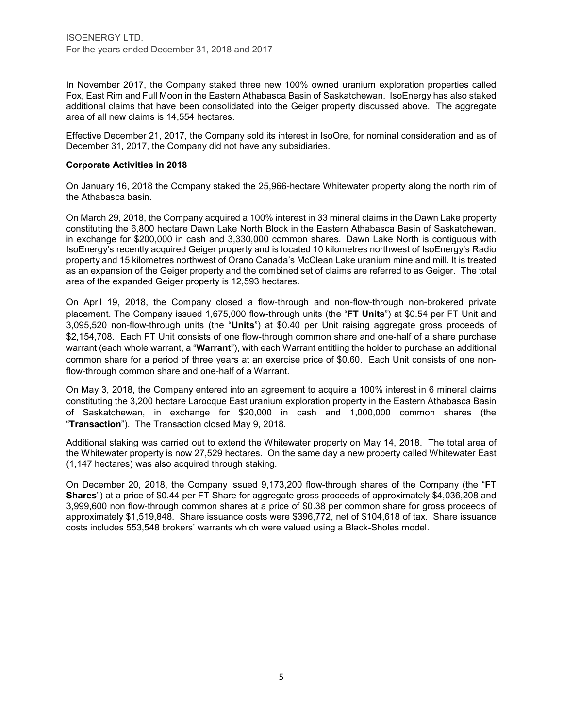In November 2017, the Company staked three new 100% owned uranium exploration properties called Fox, East Rim and Full Moon in the Eastern Athabasca Basin of Saskatchewan. IsoEnergy has also staked additional claims that have been consolidated into the Geiger property discussed above. The aggregate area of all new claims is 14,554 hectares.

Effective December 21, 2017, the Company sold its interest in IsoOre, for nominal consideration and as of December 31, 2017, the Company did not have any subsidiaries.

### **Corporate Activities in 2018**

On January 16, 2018 the Company staked the 25,966-hectare Whitewater property along the north rim of the Athabasca basin.

On March 29, 2018, the Company acquired a 100% interest in 33 mineral claims in the Dawn Lake property constituting the 6,800 hectare Dawn Lake North Block in the Eastern Athabasca Basin of Saskatchewan, in exchange for \$200,000 in cash and 3,330,000 common shares. Dawn Lake North is contiguous with IsoEnergy's recently acquired Geiger property and is located 10 kilometres northwest of IsoEnergy's Radio property and 15 kilometres northwest of Orano Canada's McClean Lake uranium mine and mill. It is treated as an expansion of the Geiger property and the combined set of claims are referred to as Geiger. The total area of the expanded Geiger property is 12,593 hectares.

On April 19, 2018, the Company closed a flow-through and non-flow-through non-brokered private placement. The Company issued 1,675,000 flow-through units (the "**FT Units**") at \$0.54 per FT Unit and 3,095,520 non-flow-through units (the "**Units**") at \$0.40 per Unit raising aggregate gross proceeds of \$2,154,708. Each FT Unit consists of one flow-through common share and one-half of a share purchase warrant (each whole warrant, a "**Warrant**"), with each Warrant entitling the holder to purchase an additional common share for a period of three years at an exercise price of \$0.60. Each Unit consists of one nonflow-through common share and one-half of a Warrant.

On May 3, 2018, the Company entered into an agreement to acquire a 100% interest in 6 mineral claims constituting the 3,200 hectare Larocque East uranium exploration property in the Eastern Athabasca Basin of Saskatchewan, in exchange for \$20,000 in cash and 1,000,000 common shares (the "**Transaction**"). The Transaction closed May 9, 2018.

Additional staking was carried out to extend the Whitewater property on May 14, 2018. The total area of the Whitewater property is now 27,529 hectares. On the same day a new property called Whitewater East (1,147 hectares) was also acquired through staking.

On December 20, 2018, the Company issued 9,173,200 flow-through shares of the Company (the "**FT Shares**") at a price of \$0.44 per FT Share for aggregate gross proceeds of approximately \$4,036,208 and 3,999,600 non flow-through common shares at a price of \$0.38 per common share for gross proceeds of approximately \$1,519,848. Share issuance costs were \$396,772, net of \$104,618 of tax. Share issuance costs includes 553,548 brokers' warrants which were valued using a Black-Sholes model.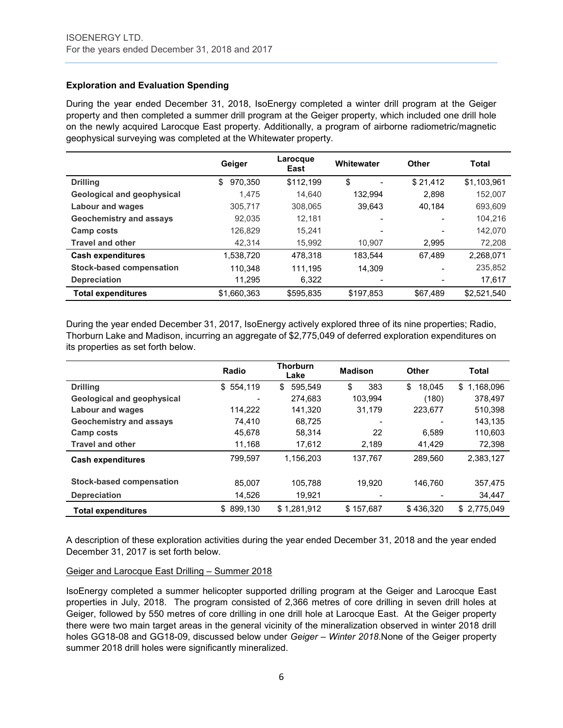## **Exploration and Evaluation Spending**

During the year ended December 31, 2018, IsoEnergy completed a winter drill program at the Geiger property and then completed a summer drill program at the Geiger property, which included one drill hole on the newly acquired Larocque East property. Additionally, a program of airborne radiometric/magnetic geophysical surveying was completed at the Whitewater property.

|                                   | Geiger        | Larocque<br>East | Whitewater | Other    | Total       |
|-----------------------------------|---------------|------------------|------------|----------|-------------|
| <b>Drilling</b>                   | \$<br>970,350 | \$112,199        | \$         | \$21,412 | \$1,103,961 |
| <b>Geological and geophysical</b> | 1.475         | 14.640           | 132.994    | 2.898    | 152.007     |
| <b>Labour and wages</b>           | 305,717       | 308.065          | 39,643     | 40.184   | 693,609     |
| <b>Geochemistry and assays</b>    | 92,035        | 12.181           |            |          | 104,216     |
| Camp costs                        | 126,829       | 15.241           | -          |          | 142,070     |
| <b>Travel and other</b>           | 42,314        | 15,992           | 10.907     | 2.995    | 72,208      |
| <b>Cash expenditures</b>          | 1,538,720     | 478,318          | 183.544    | 67.489   | 2,268,071   |
| <b>Stock-based compensation</b>   | 110.348       | 111.195          | 14.309     |          | 235,852     |
| <b>Depreciation</b>               | 11.295        | 6,322            |            |          | 17,617      |
| <b>Total expenditures</b>         | \$1,660,363   | \$595,835        | \$197,853  | \$67,489 | \$2,521,540 |

During the year ended December 31, 2017, IsoEnergy actively explored three of its nine properties; Radio, Thorburn Lake and Madison, incurring an aggregate of \$2,775,049 of deferred exploration expenditures on its properties as set forth below.

|                                   | Radio     | <b>Thorburn</b><br>Lake | <b>Madison</b> | Other        | <b>Total</b>    |
|-----------------------------------|-----------|-------------------------|----------------|--------------|-----------------|
| <b>Drilling</b>                   | \$554.119 | 595.549<br>\$           | \$<br>383      | \$<br>18.045 | 1,168,096<br>\$ |
| <b>Geological and geophysical</b> | -         | 274.683                 | 103.994        | (180)        | 378.497         |
| <b>Labour and wages</b>           | 114.222   | 141.320                 | 31.179         | 223.677      | 510,398         |
| <b>Geochemistry and assays</b>    | 74.410    | 68.725                  |                |              | 143,135         |
| Camp costs                        | 45.678    | 58.314                  | 22             | 6.589        | 110,603         |
| <b>Travel and other</b>           | 11,168    | 17.612                  | 2,189          | 41,429       | 72,398          |
| <b>Cash expenditures</b>          | 799,597   | 1,156,203               | 137.767        | 289.560      | 2,383,127       |
| <b>Stock-based compensation</b>   | 85.007    | 105.788                 | 19.920         | 146.760      | 357,475         |
| <b>Depreciation</b>               | 14,526    | 19,921                  |                |              | 34,447          |
| <b>Total expenditures</b>         | \$899.130 | \$1,281,912             | \$157.687      | \$436.320    | \$2,775,049     |

A description of these exploration activities during the year ended December 31, 2018 and the year ended December 31, 2017 is set forth below.

## Geiger and Larocque East Drilling – Summer 2018

IsoEnergy completed a summer helicopter supported drilling program at the Geiger and Larocque East properties in July, 2018. The program consisted of 2,366 metres of core drilling in seven drill holes at Geiger, followed by 550 metres of core drilling in one drill hole at Larocque East. At the Geiger property there were two main target areas in the general vicinity of the mineralization observed in winter 2018 drill holes GG18-08 and GG18-09, discussed below under *Geiger – Winter 2018*.None of the Geiger property summer 2018 drill holes were significantly mineralized.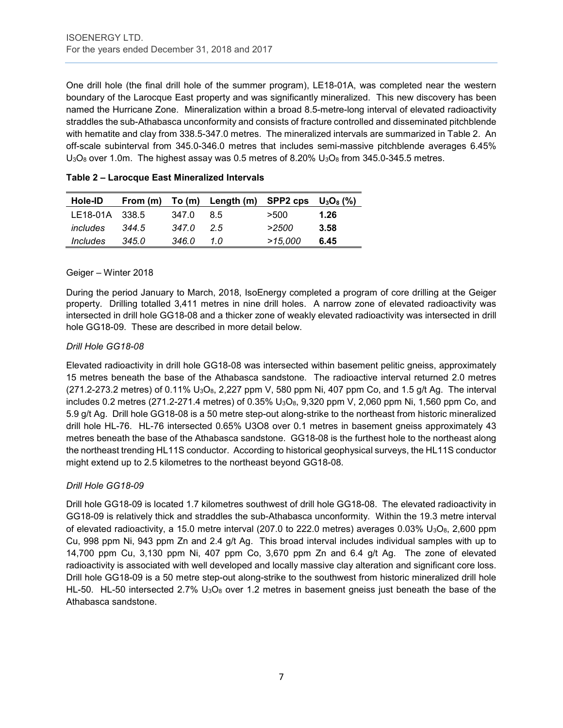One drill hole (the final drill hole of the summer program), LE18-01A, was completed near the western boundary of the Larocque East property and was significantly mineralized. This new discovery has been named the Hurricane Zone. Mineralization within a broad 8.5-metre-long interval of elevated radioactivity straddles the sub-Athabasca unconformity and consists of fracture controlled and disseminated pitchblende with hematite and clay from 338.5-347.0 metres. The mineralized intervals are summarized in Table 2. An off-scale subinterval from 345.0-346.0 metres that includes semi-massive pitchblende averages 6.45%  $U_3O_8$  over 1.0m. The highest assay was 0.5 metres of 8.20%  $U_3O_8$  from 345.0-345.5 metres.

| Hole-ID        | From (m) |       | To $(m)$ Length $(m)$ SPP2 cps $U_3O_8$ $(\%)$ |         |      |
|----------------|----------|-------|------------------------------------------------|---------|------|
| LE18-01A 338.5 |          | 347.0 | 85                                             | >500    | 1.26 |
| includes       | 344.5    | 347.0 | 25                                             | >2500   | 3.58 |
| Includes       | 345.0    | 346.0 | 1 N                                            | >15,000 | 6.45 |

| Table 2 - Larocque East Mineralized Intervals |  |  |  |
|-----------------------------------------------|--|--|--|
|-----------------------------------------------|--|--|--|

### Geiger – Winter 2018

During the period January to March, 2018, IsoEnergy completed a program of core drilling at the Geiger property. Drilling totalled 3,411 metres in nine drill holes. A narrow zone of elevated radioactivity was intersected in drill hole GG18-08 and a thicker zone of weakly elevated radioactivity was intersected in drill hole GG18-09. These are described in more detail below.

## *Drill Hole GG18-08*

Elevated radioactivity in drill hole GG18-08 was intersected within basement pelitic gneiss, approximately 15 metres beneath the base of the Athabasca sandstone. The radioactive interval returned 2.0 metres  $(271.2-273.2 \text{ metres})$  of 0.11%  $U_3O_8$ , 2,227 ppm V, 580 ppm Ni, 407 ppm Co, and 1.5 g/t Ag. The interval includes 0.2 metres (271.2-271.4 metres) of 0.35% U<sub>3</sub>O<sub>8</sub>, 9,320 ppm V, 2,060 ppm Ni, 1,560 ppm Co, and 5.9 g/t Ag. Drill hole GG18-08 is a 50 metre step-out along-strike to the northeast from historic mineralized drill hole HL-76. HL-76 intersected 0.65% U3O8 over 0.1 metres in basement gneiss approximately 43 metres beneath the base of the Athabasca sandstone. GG18-08 is the furthest hole to the northeast along the northeast trending HL11S conductor. According to historical geophysical surveys, the HL11S conductor might extend up to 2.5 kilometres to the northeast beyond GG18-08.

## *Drill Hole GG18-09*

Drill hole GG18-09 is located 1.7 kilometres southwest of drill hole GG18-08. The elevated radioactivity in GG18-09 is relatively thick and straddles the sub-Athabasca unconformity. Within the 19.3 metre interval of elevated radioactivity, a 15.0 metre interval (207.0 to 222.0 metres) averages 0.03%  $U_3O_8$ , 2,600 ppm Cu, 998 ppm Ni, 943 ppm Zn and 2.4 g/t Ag. This broad interval includes individual samples with up to 14,700 ppm Cu, 3,130 ppm Ni, 407 ppm Co, 3,670 ppm Zn and 6.4 g/t Ag. The zone of elevated radioactivity is associated with well developed and locally massive clay alteration and significant core loss. Drill hole GG18-09 is a 50 metre step-out along-strike to the southwest from historic mineralized drill hole HL-50. HL-50 intersected 2.7%  $U_3O_8$  over 1.2 metres in basement gneiss just beneath the base of the Athabasca sandstone.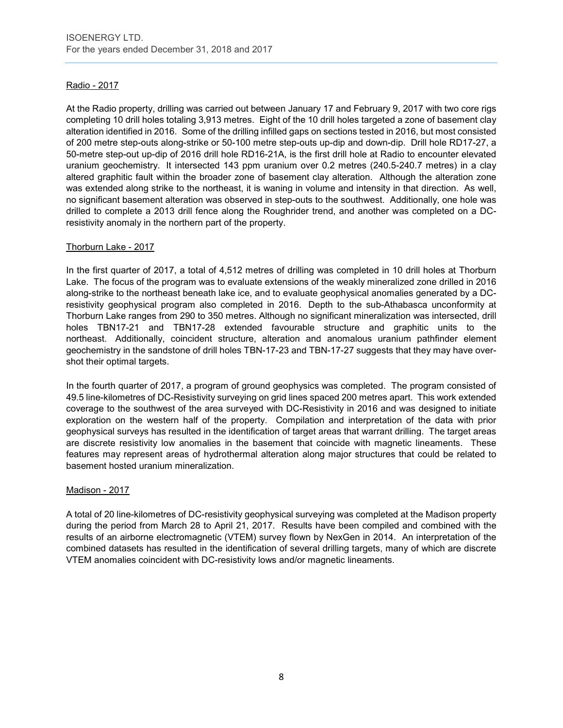## Radio - 2017

At the Radio property, drilling was carried out between January 17 and February 9, 2017 with two core rigs completing 10 drill holes totaling 3,913 metres. Eight of the 10 drill holes targeted a zone of basement clay alteration identified in 2016. Some of the drilling infilled gaps on sections tested in 2016, but most consisted of 200 metre step-outs along-strike or 50-100 metre step-outs up-dip and down-dip. Drill hole RD17-27, a 50-metre step-out up-dip of 2016 drill hole RD16-21A, is the first drill hole at Radio to encounter elevated uranium geochemistry. It intersected 143 ppm uranium over 0.2 metres (240.5-240.7 metres) in a clay altered graphitic fault within the broader zone of basement clay alteration. Although the alteration zone was extended along strike to the northeast, it is waning in volume and intensity in that direction. As well, no significant basement alteration was observed in step-outs to the southwest. Additionally, one hole was drilled to complete a 2013 drill fence along the Roughrider trend, and another was completed on a DCresistivity anomaly in the northern part of the property.

## Thorburn Lake - 2017

In the first quarter of 2017, a total of 4,512 metres of drilling was completed in 10 drill holes at Thorburn Lake. The focus of the program was to evaluate extensions of the weakly mineralized zone drilled in 2016 along-strike to the northeast beneath lake ice, and to evaluate geophysical anomalies generated by a DCresistivity geophysical program also completed in 2016. Depth to the sub-Athabasca unconformity at Thorburn Lake ranges from 290 to 350 metres. Although no significant mineralization was intersected, drill holes TBN17-21 and TBN17-28 extended favourable structure and graphitic units to the northeast. Additionally, coincident structure, alteration and anomalous uranium pathfinder element geochemistry in the sandstone of drill holes TBN-17-23 and TBN-17-27 suggests that they may have overshot their optimal targets.

In the fourth quarter of 2017, a program of ground geophysics was completed. The program consisted of 49.5 line-kilometres of DC-Resistivity surveying on grid lines spaced 200 metres apart. This work extended coverage to the southwest of the area surveyed with DC-Resistivity in 2016 and was designed to initiate exploration on the western half of the property. Compilation and interpretation of the data with prior geophysical surveys has resulted in the identification of target areas that warrant drilling. The target areas are discrete resistivity low anomalies in the basement that coincide with magnetic lineaments. These features may represent areas of hydrothermal alteration along major structures that could be related to basement hosted uranium mineralization.

#### Madison - 2017

A total of 20 line-kilometres of DC-resistivity geophysical surveying was completed at the Madison property during the period from March 28 to April 21, 2017. Results have been compiled and combined with the results of an airborne electromagnetic (VTEM) survey flown by NexGen in 2014. An interpretation of the combined datasets has resulted in the identification of several drilling targets, many of which are discrete VTEM anomalies coincident with DC-resistivity lows and/or magnetic lineaments.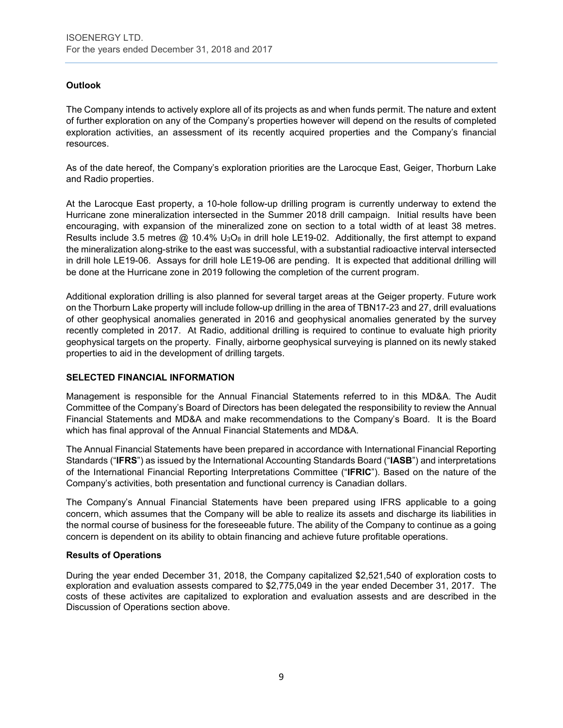## **Outlook**

The Company intends to actively explore all of its projects as and when funds permit. The nature and extent of further exploration on any of the Company's properties however will depend on the results of completed exploration activities, an assessment of its recently acquired properties and the Company's financial resources.

As of the date hereof, the Company's exploration priorities are the Larocque East, Geiger, Thorburn Lake and Radio properties.

At the Larocque East property, a 10-hole follow-up drilling program is currently underway to extend the Hurricane zone mineralization intersected in the Summer 2018 drill campaign. Initial results have been encouraging, with expansion of the mineralized zone on section to a total width of at least 38 metres. Results include 3.5 metres  $@$  10.4% U<sub>3</sub>O<sub>8</sub> in drill hole LE19-02. Additionally, the first attempt to expand the mineralization along-strike to the east was successful, with a substantial radioactive interval intersected in drill hole LE19-06. Assays for drill hole LE19-06 are pending. It is expected that additional drilling will be done at the Hurricane zone in 2019 following the completion of the current program.

Additional exploration drilling is also planned for several target areas at the Geiger property. Future work on the Thorburn Lake property will include follow-up drilling in the area of TBN17-23 and 27, drill evaluations of other geophysical anomalies generated in 2016 and geophysical anomalies generated by the survey recently completed in 2017. At Radio, additional drilling is required to continue to evaluate high priority geophysical targets on the property. Finally, airborne geophysical surveying is planned on its newly staked properties to aid in the development of drilling targets.

## **SELECTED FINANCIAL INFORMATION**

Management is responsible for the Annual Financial Statements referred to in this MD&A. The Audit Committee of the Company's Board of Directors has been delegated the responsibility to review the Annual Financial Statements and MD&A and make recommendations to the Company's Board. It is the Board which has final approval of the Annual Financial Statements and MD&A.

The Annual Financial Statements have been prepared in accordance with International Financial Reporting Standards ("**IFRS**") as issued by the International Accounting Standards Board ("**IASB**") and interpretations of the International Financial Reporting Interpretations Committee ("**IFRIC**"). Based on the nature of the Company's activities, both presentation and functional currency is Canadian dollars.

The Company's Annual Financial Statements have been prepared using IFRS applicable to a going concern, which assumes that the Company will be able to realize its assets and discharge its liabilities in the normal course of business for the foreseeable future. The ability of the Company to continue as a going concern is dependent on its ability to obtain financing and achieve future profitable operations.

#### **Results of Operations**

During the year ended December 31, 2018, the Company capitalized \$2,521,540 of exploration costs to exploration and evaluation assests compared to \$2,775,049 in the year ended December 31, 2017. The costs of these activites are capitalized to exploration and evaluation assests and are described in the Discussion of Operations section above.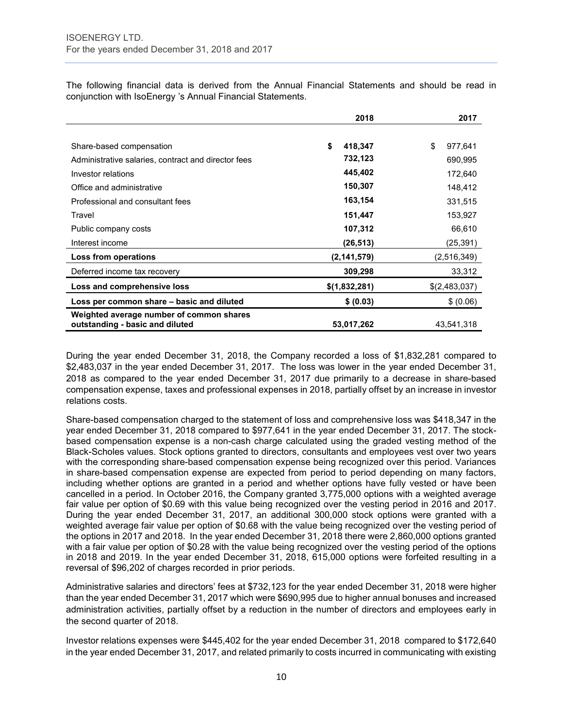The following financial data is derived from the Annual Financial Statements and should be read in conjunction with IsoEnergy 's Annual Financial Statements.

|                                                                             | 2018          | 2017          |
|-----------------------------------------------------------------------------|---------------|---------------|
|                                                                             |               |               |
| Share-based compensation                                                    | \$<br>418,347 | \$<br>977,641 |
| Administrative salaries, contract and director fees                         | 732,123       | 690,995       |
| Investor relations                                                          | 445,402       | 172,640       |
| Office and administrative                                                   | 150,307       | 148,412       |
| Professional and consultant fees                                            | 163,154       | 331,515       |
| Travel                                                                      | 151,447       | 153,927       |
| Public company costs                                                        | 107,312       | 66,610        |
| Interest income                                                             | (26, 513)     | (25, 391)     |
| Loss from operations                                                        | (2, 141, 579) | (2,516,349)   |
| Deferred income tax recovery                                                | 309,298       | 33,312        |
| Loss and comprehensive loss                                                 | \$(1,832,281) | \$(2,483,037) |
| Loss per common share - basic and diluted                                   | \$ (0.03)     | \$ (0.06)     |
| Weighted average number of common shares<br>outstanding - basic and diluted | 53,017,262    | 43.541.318    |

During the year ended December 31, 2018, the Company recorded a loss of \$1,832,281 compared to \$2,483,037 in the year ended December 31, 2017. The loss was lower in the year ended December 31, 2018 as compared to the year ended December 31, 2017 due primarily to a decrease in share-based compensation expense, taxes and professional expenses in 2018, partially offset by an increase in investor relations costs.

Share-based compensation charged to the statement of loss and comprehensive loss was \$418,347 in the year ended December 31, 2018 compared to \$977,641 in the year ended December 31, 2017. The stockbased compensation expense is a non-cash charge calculated using the graded vesting method of the Black-Scholes values. Stock options granted to directors, consultants and employees vest over two years with the corresponding share-based compensation expense being recognized over this period. Variances in share-based compensation expense are expected from period to period depending on many factors, including whether options are granted in a period and whether options have fully vested or have been cancelled in a period. In October 2016, the Company granted 3,775,000 options with a weighted average fair value per option of \$0.69 with this value being recognized over the vesting period in 2016 and 2017. During the year ended December 31, 2017, an additional 300,000 stock options were granted with a weighted average fair value per option of \$0.68 with the value being recognized over the vesting period of the options in 2017 and 2018. In the year ended December 31, 2018 there were 2,860,000 options granted with a fair value per option of \$0.28 with the value being recognized over the vesting period of the options in 2018 and 2019. In the year ended December 31, 2018, 615,000 options were forfeited resulting in a reversal of \$96,202 of charges recorded in prior periods.

Administrative salaries and directors' fees at \$732,123 for the year ended December 31, 2018 were higher than the year ended December 31, 2017 which were \$690,995 due to higher annual bonuses and increased administration activities, partially offset by a reduction in the number of directors and employees early in the second quarter of 2018.

Investor relations expenses were \$445,402 for the year ended December 31, 2018 compared to \$172,640 in the year ended December 31, 2017, and related primarily to costs incurred in communicating with existing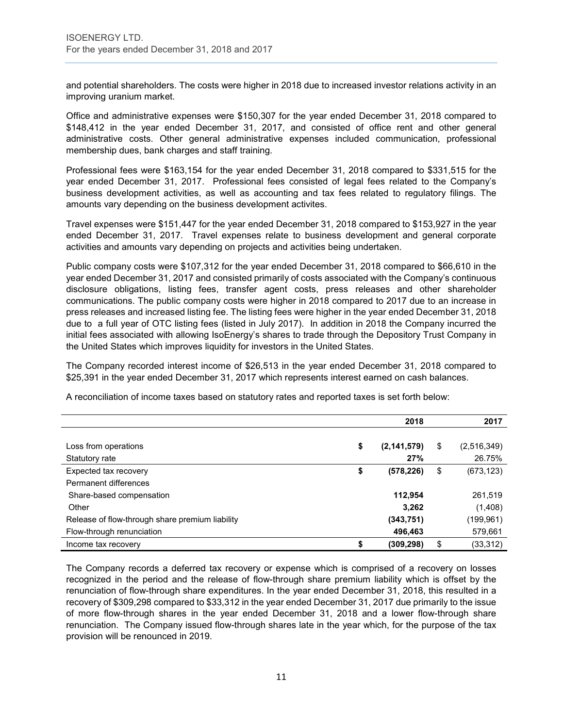and potential shareholders. The costs were higher in 2018 due to increased investor relations activity in an improving uranium market.

Office and administrative expenses were \$150,307 for the year ended December 31, 2018 compared to \$148,412 in the year ended December 31, 2017, and consisted of office rent and other general administrative costs. Other general administrative expenses included communication, professional membership dues, bank charges and staff training.

Professional fees were \$163,154 for the year ended December 31, 2018 compared to \$331,515 for the year ended December 31, 2017. Professional fees consisted of legal fees related to the Company's business development activities, as well as accounting and tax fees related to regulatory filings. The amounts vary depending on the business development activites.

Travel expenses were \$151,447 for the year ended December 31, 2018 compared to \$153,927 in the year ended December 31, 2017. Travel expenses relate to business development and general corporate activities and amounts vary depending on projects and activities being undertaken.

Public company costs were \$107,312 for the year ended December 31, 2018 compared to \$66,610 in the year ended December 31, 2017 and consisted primarily of costs associated with the Company's continuous disclosure obligations, listing fees, transfer agent costs, press releases and other shareholder communications. The public company costs were higher in 2018 compared to 2017 due to an increase in press releases and increased listing fee. The listing fees were higher in the year ended December 31, 2018 due to a full year of OTC listing fees (listed in July 2017). In addition in 2018 the Company incurred the initial fees associated with allowing IsoEnergy's shares to trade through the Depository Trust Company in the United States which improves liquidity for investors in the United States.

The Company recorded interest income of \$26,513 in the year ended December 31, 2018 compared to \$25,391 in the year ended December 31, 2017 which represents interest earned on cash balances.

|                                                 | 2018                | 2017              |
|-------------------------------------------------|---------------------|-------------------|
|                                                 |                     |                   |
| Loss from operations                            | \$<br>(2, 141, 579) | \$<br>(2,516,349) |
| Statutory rate                                  | 27%                 | 26.75%            |
| Expected tax recovery                           | \$<br>(578, 226)    | \$<br>(673, 123)  |
| Permanent differences                           |                     |                   |
| Share-based compensation                        | 112,954             | 261,519           |
| Other                                           | 3,262               | (1,408)           |
| Release of flow-through share premium liability | (343, 751)          | (199, 961)        |
| Flow-through renunciation                       | 496,463             | 579,661           |
| Income tax recovery                             | \$<br>(309, 298)    | \$<br>(33, 312)   |

A reconciliation of income taxes based on statutory rates and reported taxes is set forth below:

The Company records a deferred tax recovery or expense which is comprised of a recovery on losses recognized in the period and the release of flow-through share premium liability which is offset by the renunciation of flow-through share expenditures. In the year ended December 31, 2018, this resulted in a recovery of \$309,298 compared to \$33,312 in the year ended December 31, 2017 due primarily to the issue of more flow-through shares in the year ended December 31, 2018 and a lower flow-through share renunciation. The Company issued flow-through shares late in the year which, for the purpose of the tax provision will be renounced in 2019.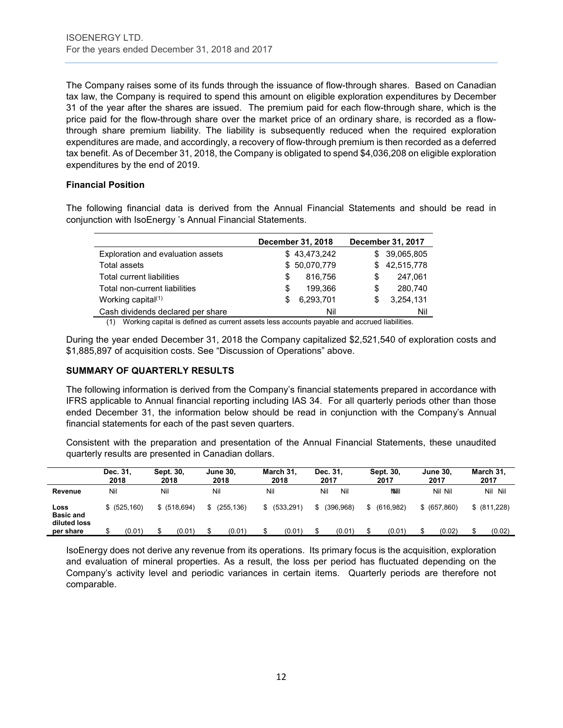The Company raises some of its funds through the issuance of flow-through shares. Based on Canadian tax law, the Company is required to spend this amount on eligible exploration expenditures by December 31 of the year after the shares are issued. The premium paid for each flow-through share, which is the price paid for the flow-through share over the market price of an ordinary share, is recorded as a flowthrough share premium liability. The liability is subsequently reduced when the required exploration expenditures are made, and accordingly, a recovery of flow-through premium is then recorded as a deferred tax benefit. As of December 31, 2018, the Company is obligated to spend \$4,036,208 on eligible exploration expenditures by the end of 2019.

#### **Financial Position**

The following financial data is derived from the Annual Financial Statements and should be read in conjunction with IsoEnergy 's Annual Financial Statements.

|                                   |    | December 31, 2018 | December 31, 2017 |            |  |
|-----------------------------------|----|-------------------|-------------------|------------|--|
| Exploration and evaluation assets |    | \$43,473,242      | S.                | 39,065,805 |  |
| Total assets                      |    | \$50,070,779      | S                 | 42,515,778 |  |
| Total current liabilities         | S. | 816.756           | S                 | 247.061    |  |
| Total non-current liabilities     | S  | 199.366           | \$                | 280,740    |  |
| Working capital $(1)$             | S  | 6,293,701         | S                 | 3,254,131  |  |
| Cash dividends declared per share |    | Nil               |                   | Nil        |  |

(1) Working capital is defined as current assets less accounts payable and accrued liabilities.

During the year ended December 31, 2018 the Company capitalized \$2,521,540 of exploration costs and \$1,885,897 of acquisition costs. See "Discussion of Operations" above.

## **SUMMARY OF QUARTERLY RESULTS**

The following information is derived from the Company's financial statements prepared in accordance with IFRS applicable to Annual financial reporting including IAS 34. For all quarterly periods other than those ended December 31, the information below should be read in conjunction with the Company's Annual financial statements for each of the past seven quarters.

Consistent with the preparation and presentation of the Annual Financial Statements, these unaudited quarterly results are presented in Canadian dollars.

|                                          | Dec. 31,<br>2018 |        | Sept. 30.<br>2018 |              |     | <b>June 30.</b><br>2018 |     | March 31.<br>2018 | Dec. 31.<br>2017 |            | Sept. 30,<br>2017 | <b>June 30,</b><br>2017 | March 31,<br>2017 |
|------------------------------------------|------------------|--------|-------------------|--------------|-----|-------------------------|-----|-------------------|------------------|------------|-------------------|-------------------------|-------------------|
| Revenue                                  | Nil              |        | Nil               |              | Nil |                         | Nil |                   | Nil              | Nil        | <b>NNII</b>       | Nil Nil                 | Nil Nil           |
| Loss<br><b>Basic and</b><br>diluted loss | \$ (525, 160)    |        |                   | \$ (518.694) |     | (255.136)               |     | \$ (533,291)      |                  | (396, 968) | \$<br>(616.982)   | \$ (657,860)            | \$ (811,228)      |
| per share                                |                  | (0.01) |                   | (0.01)       |     | (0.01)                  |     | (0.01)            |                  | (0.01)     | (0.01)            | (0.02)                  | (0.02)            |

IsoEnergy does not derive any revenue from its operations. Its primary focus is the acquisition, exploration and evaluation of mineral properties. As a result, the loss per period has fluctuated depending on the Company's activity level and periodic variances in certain items. Quarterly periods are therefore not comparable.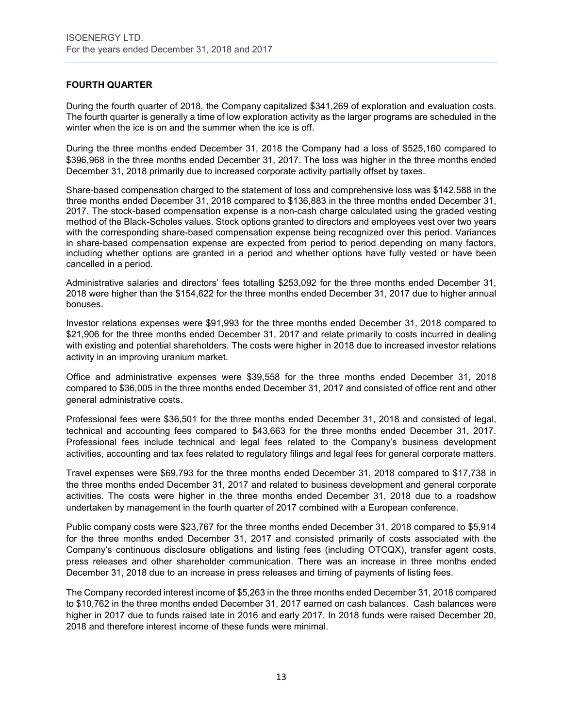## **FOURTH QUARTER**

During the fourth quarter of 2018, the Company capitalized \$341,269 of exploration and evaluation costs. The fourth quarter is generally a time of low exploration activity as the larger programs are scheduled in the winter when the ice is on and the summer when the ice is off.

During the three months ended December 31, 2018 the Company had a loss of \$525,160 compared to \$396,968 in the three months ended December 31, 2017. The loss was higher in the three months ended December 31, 2018 primarily due to increased corporate activity partially offset by taxes.

Share-based compensation charged to the statement of loss and comprehensive loss was \$142,588 in the three months ended December 31, 2018 compared to \$136,883 in the three months ended December 31, 2017. The stock-based compensation expense is a non-cash charge calculated using the graded vesting method of the Black-Scholes values. Stock options granted to directors and employees vest over two years with the corresponding share-based compensation expense being recognized over this period. Variances in share-based compensation expense are expected from period to period depending on many factors, including whether options are granted in a period and whether options have fully vested or have been cancelled in a period.

Administrative salaries and directors' fees totalling \$253,092 for the three months ended December 31, 2018 were higher than the \$154,622 for the three months ended December 31, 2017 due to higher annual bonuses.

Investor relations expenses were \$91,993 for the three months ended December 31, 2018 compared to \$21,906 for the three months ended December 31, 2017 and relate primarily to costs incurred in dealing with existing and potential shareholders. The costs were higher in 2018 due to increased investor relations activity in an improving uranium market.

Office and administrative expenses were \$39,558 for the three months ended December 31, 2018 compared to \$36,005 in the three months ended December 31, 2017 and consisted of office rent and other general administrative costs.

Professional fees were \$36,501 for the three months ended December 31, 2018 and consisted of legal, technical and accounting fees compared to \$43,663 for the three months ended December 31, 2017. Professional fees include technical and legal fees related to the Company's business development activities, accounting and tax fees related to regulatory filings and legal fees for general corporate matters.

Travel expenses were \$69,793 for the three months ended December 31, 2018 compared to \$17,738 in the three months ended December 31, 2017 and related to business development and general corporate activities. The costs were higher in the three months ended December 31, 2018 due to a roadshow undertaken by management in the fourth quarter of 2017 combined with a European conference.

Public company costs were \$23,767 for the three months ended December 31, 2018 compared to \$5,914 for the three months ended December 31, 2017 and consisted primarily of costs associated with the Company's continuous disclosure obligations and listing fees (including OTCQX), transfer agent costs, press releases and other shareholder communication. There was an increase in three months ended December 31, 2018 due to an increase in press releases and timing of payments of listing fees.

The Company recorded interest income of \$5,263 in the three months ended December 31, 2018 compared to \$10,762 in the three months ended December 31, 2017 earned on cash balances. Cash balances were higher in 2017 due to funds raised late in 2016 and early 2017. In 2018 funds were raised December 20, 2018 and therefore interest income of these funds were minimal.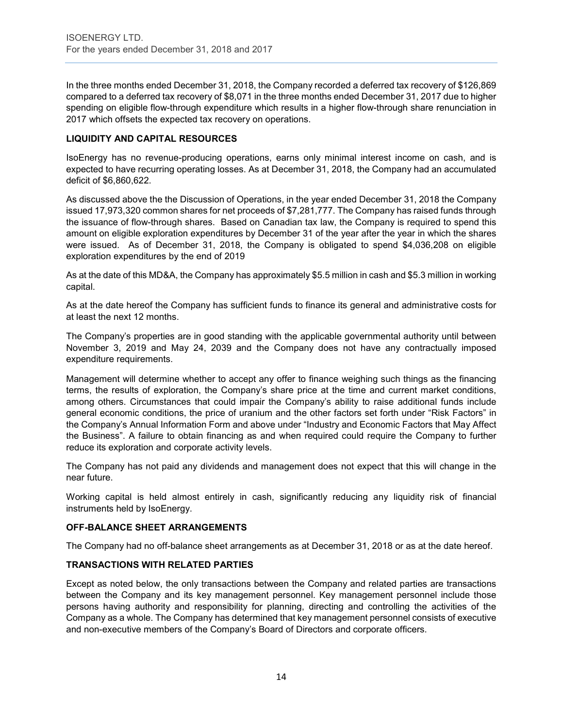In the three months ended December 31, 2018, the Company recorded a deferred tax recovery of \$126,869 compared to a deferred tax recovery of \$8,071 in the three months ended December 31, 2017 due to higher spending on eligible flow-through expenditure which results in a higher flow-through share renunciation in 2017 which offsets the expected tax recovery on operations.

## **LIQUIDITY AND CAPITAL RESOURCES**

IsoEnergy has no revenue-producing operations, earns only minimal interest income on cash, and is expected to have recurring operating losses. As at December 31, 2018, the Company had an accumulated deficit of \$6,860,622.

As discussed above the the Discussion of Operations, in the year ended December 31, 2018 the Company issued 17,973,320 common shares for net proceeds of \$7,281,777. The Company has raised funds through the issuance of flow-through shares. Based on Canadian tax law, the Company is required to spend this amount on eligible exploration expenditures by December 31 of the year after the year in which the shares were issued. As of December 31, 2018, the Company is obligated to spend \$4,036,208 on eligible exploration expenditures by the end of 2019

As at the date of this MD&A, the Company has approximately \$5.5 million in cash and \$5.3 million in working capital.

As at the date hereof the Company has sufficient funds to finance its general and administrative costs for at least the next 12 months.

The Company's properties are in good standing with the applicable governmental authority until between November 3, 2019 and May 24, 2039 and the Company does not have any contractually imposed expenditure requirements.

Management will determine whether to accept any offer to finance weighing such things as the financing terms, the results of exploration, the Company's share price at the time and current market conditions, among others. Circumstances that could impair the Company's ability to raise additional funds include general economic conditions, the price of uranium and the other factors set forth under "Risk Factors" in the Company's Annual Information Form and above under "Industry and Economic Factors that May Affect the Business". A failure to obtain financing as and when required could require the Company to further reduce its exploration and corporate activity levels.

The Company has not paid any dividends and management does not expect that this will change in the near future.

Working capital is held almost entirely in cash, significantly reducing any liquidity risk of financial instruments held by IsoEnergy.

## **OFF-BALANCE SHEET ARRANGEMENTS**

The Company had no off-balance sheet arrangements as at December 31, 2018 or as at the date hereof.

## **TRANSACTIONS WITH RELATED PARTIES**

Except as noted below, the only transactions between the Company and related parties are transactions between the Company and its key management personnel. Key management personnel include those persons having authority and responsibility for planning, directing and controlling the activities of the Company as a whole. The Company has determined that key management personnel consists of executive and non-executive members of the Company's Board of Directors and corporate officers.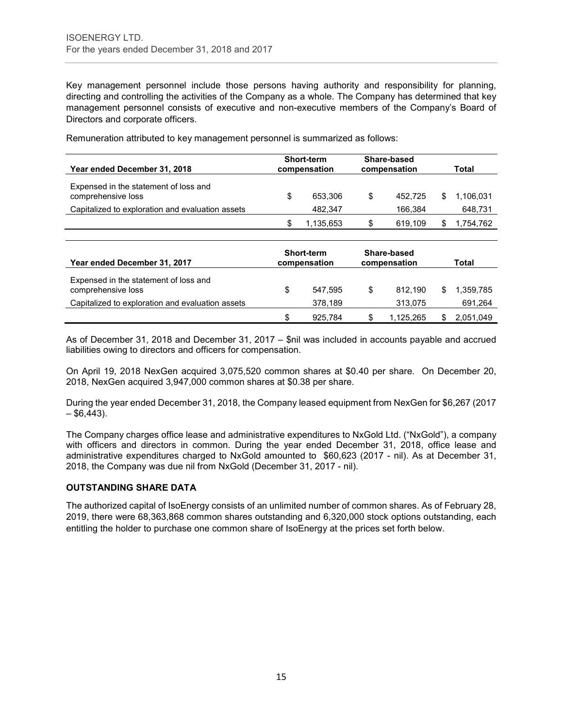Key management personnel include those persons having authority and responsibility for planning, directing and controlling the activities of the Company as a whole. The Company has determined that key management personnel consists of executive and non-executive members of the Company's Board of Directors and corporate officers.

| Year ended December 31, 2018                                |   | <b>Short-term</b><br>compensation |     | Share-based<br>compensation | Total     |
|-------------------------------------------------------------|---|-----------------------------------|-----|-----------------------------|-----------|
| Expensed in the statement of loss and<br>comprehensive loss | S | 653.306                           | \$. | 452.725                     | 1.106.031 |
| Capitalized to exploration and evaluation assets            |   | 482.347                           |     | 166.384                     | 648,731   |
|                                                             |   | 1,135,653                         |     | 619.109                     | 1.754.762 |

Remuneration attributed to key management personnel is summarized as follows:

| Year ended December 31, 2017                                |    | <b>Short-term</b><br>compensation |   | Share-based<br>compensation | <b>Total</b> |
|-------------------------------------------------------------|----|-----------------------------------|---|-----------------------------|--------------|
| Expensed in the statement of loss and<br>comprehensive loss | \$ | 547.595                           | S | 812.190                     | 1.359.785    |
| Capitalized to exploration and evaluation assets            |    | 378.189                           |   | 313.075                     | 691,264      |
|                                                             | S  | 925.784                           |   | 1.125.265                   | 2,051,049    |

As of December 31, 2018 and December 31, 2017 – \$nil was included in accounts payable and accrued liabilities owing to directors and officers for compensation.

On April 19, 2018 NexGen acquired 3,075,520 common shares at \$0.40 per share. On December 20, 2018, NexGen acquired 3,947,000 common shares at \$0.38 per share.

During the year ended December 31, 2018, the Company leased equipment from NexGen for \$6,267 (2017  $-$  \$6,443).

The Company charges office lease and administrative expenditures to NxGold Ltd. ("NxGold"), a company with officers and directors in common. During the year ended December 31, 2018, office lease and administrative expenditures charged to NxGold amounted to \$60,623 (2017 - nil). As at December 31, 2018, the Company was due nil from NxGold (December 31, 2017 - nil).

## **OUTSTANDING SHARE DATA**

The authorized capital of IsoEnergy consists of an unlimited number of common shares. As of February 28, 2019, there were 68,363,868 common shares outstanding and 6,320,000 stock options outstanding, each entitling the holder to purchase one common share of IsoEnergy at the prices set forth below.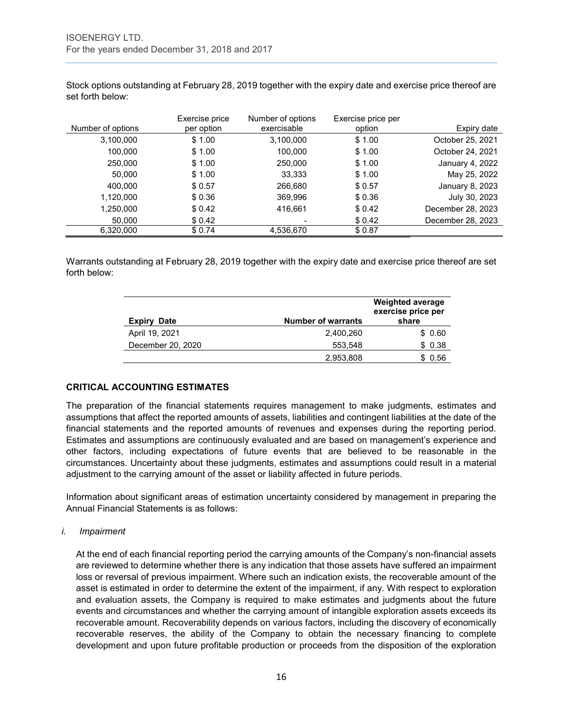| Number of options | Exercise price<br>per option | Number of options<br>exercisable | Exercise price per<br>option | Expiry date      |
|-------------------|------------------------------|----------------------------------|------------------------------|------------------|
| 3,100,000         | \$1.00                       | 3,100,000                        | \$1.00                       | October 25, 2021 |
| 100,000           | \$1.00                       | 100,000                          | \$1.00                       | October 24, 2021 |
| 250,000           | \$1.00                       | 250,000                          | \$1.00                       | January 4, 2022  |
| 50,000            | \$1.00                       | 33,333                           | \$1.00                       | May 25, 2022     |
| 400,000           | \$0.57                       | 266,680                          | \$0.57                       | January 8, 2023  |
| 1,120,000         | \$0.36                       | 369.996                          | \$0.36                       | July 30, 2023    |

1,250,000 \$ 0.42 416,661 \$ 0.42 December 28, 2023 50,000 \$ 0.42 - \$ 0.42 December 28, 2023

Stock options outstanding at February 28, 2019 together with the expiry date and exercise price thereof are set forth below:

Warrants outstanding at February 28, 2019 together with the expiry date and exercise price thereof are set forth below:

6,320,000 \$ 0.74 4,536,670 \$ 0.87

| <b>Expiry Date</b> | <b>Number of warrants</b> | <b>Weighted average</b><br>exercise price per<br>share |
|--------------------|---------------------------|--------------------------------------------------------|
| April 19, 2021     | 2,400,260                 | \$0.60                                                 |
| December 20, 2020  | 553,548                   | \$0.38                                                 |
|                    | 2,953,808                 | 0.56<br>S.                                             |

## **CRITICAL ACCOUNTING ESTIMATES**

The preparation of the financial statements requires management to make judgments, estimates and assumptions that affect the reported amounts of assets, liabilities and contingent liabilities at the date of the financial statements and the reported amounts of revenues and expenses during the reporting period. Estimates and assumptions are continuously evaluated and are based on management's experience and other factors, including expectations of future events that are believed to be reasonable in the circumstances. Uncertainty about these judgments, estimates and assumptions could result in a material adjustment to the carrying amount of the asset or liability affected in future periods.

Information about significant areas of estimation uncertainty considered by management in preparing the Annual Financial Statements is as follows:

#### *i. Impairment*

At the end of each financial reporting period the carrying amounts of the Company's non-financial assets are reviewed to determine whether there is any indication that those assets have suffered an impairment loss or reversal of previous impairment. Where such an indication exists, the recoverable amount of the asset is estimated in order to determine the extent of the impairment, if any. With respect to exploration and evaluation assets, the Company is required to make estimates and judgments about the future events and circumstances and whether the carrying amount of intangible exploration assets exceeds its recoverable amount. Recoverability depends on various factors, including the discovery of economically recoverable reserves, the ability of the Company to obtain the necessary financing to complete development and upon future profitable production or proceeds from the disposition of the exploration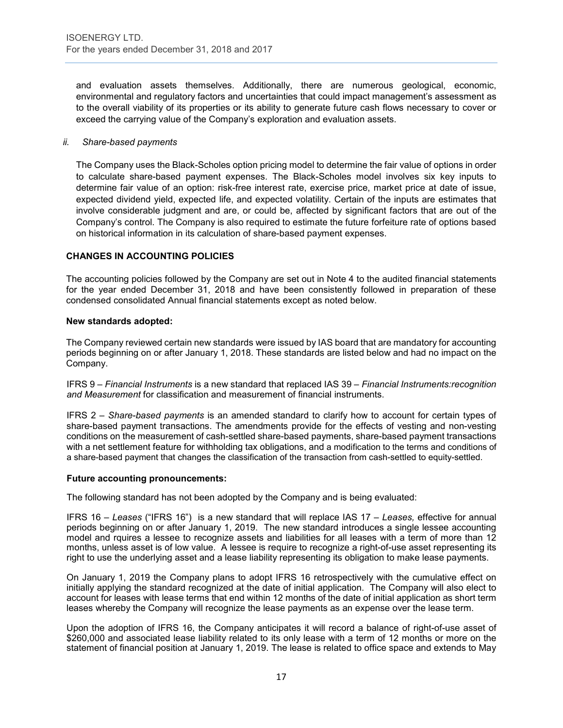and evaluation assets themselves. Additionally, there are numerous geological, economic, environmental and regulatory factors and uncertainties that could impact management's assessment as to the overall viability of its properties or its ability to generate future cash flows necessary to cover or exceed the carrying value of the Company's exploration and evaluation assets.

#### *ii. Share-based payments*

The Company uses the Black-Scholes option pricing model to determine the fair value of options in order to calculate share-based payment expenses. The Black-Scholes model involves six key inputs to determine fair value of an option: risk-free interest rate, exercise price, market price at date of issue, expected dividend yield, expected life, and expected volatility. Certain of the inputs are estimates that involve considerable judgment and are, or could be, affected by significant factors that are out of the Company's control. The Company is also required to estimate the future forfeiture rate of options based on historical information in its calculation of share-based payment expenses.

## **CHANGES IN ACCOUNTING POLICIES**

The accounting policies followed by the Company are set out in Note 4 to the audited financial statements for the year ended December 31, 2018 and have been consistently followed in preparation of these condensed consolidated Annual financial statements except as noted below.

#### **New standards adopted:**

The Company reviewed certain new standards were issued by IAS board that are mandatory for accounting periods beginning on or after January 1, 2018. These standards are listed below and had no impact on the Company.

IFRS 9 – *Financial Instruments* is a new standard that replaced IAS 39 – *Financial Instruments:recognition and Measurement* for classification and measurement of financial instruments.

IFRS 2 – *Share-based payments* is an amended standard to clarify how to account for certain types of share-based payment transactions. The amendments provide for the effects of vesting and non-vesting conditions on the measurement of cash-settled share-based payments, share-based payment transactions with a net settlement feature for withholding tax obligations, and a modification to the terms and conditions of a share-based payment that changes the classification of the transaction from cash-settled to equity-settled.

#### **Future accounting pronouncements:**

The following standard has not been adopted by the Company and is being evaluated:

IFRS 16 – *Leases* ("IFRS 16") is a new standard that will replace IAS 17 – *Leases,* effective for annual periods beginning on or after January 1, 2019. The new standard introduces a single lessee accounting model and rquires a lessee to recognize assets and liabilities for all leases with a term of more than 12 months, unless asset is of low value. A lessee is require to recognize a right-of-use asset representing its right to use the underlying asset and a lease liability representing its obligation to make lease payments.

On January 1, 2019 the Company plans to adopt IFRS 16 retrospectively with the cumulative effect on initially applying the standard recognized at the date of initial application. The Company will also elect to account for leases with lease terms that end within 12 months of the date of initial application as short term leases whereby the Company will recognize the lease payments as an expense over the lease term.

Upon the adoption of IFRS 16, the Company anticipates it will record a balance of right-of-use asset of \$260,000 and associated lease liability related to its only lease with a term of 12 months or more on the statement of financial position at January 1, 2019. The lease is related to office space and extends to May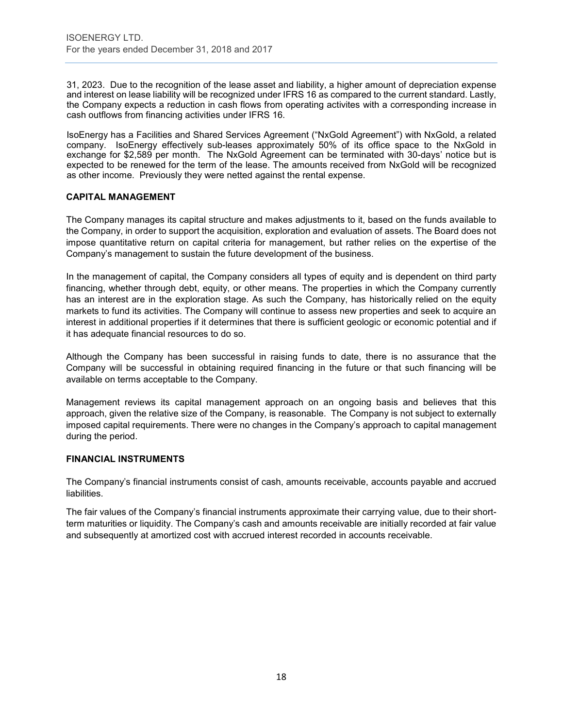31, 2023. Due to the recognition of the lease asset and liability, a higher amount of depreciation expense and interest on lease liability will be recognized under IFRS 16 as compared to the current standard. Lastly, the Company expects a reduction in cash flows from operating activites with a corresponding increase in cash outflows from financing activities under IFRS 16.

IsoEnergy has a Facilities and Shared Services Agreement ("NxGold Agreement") with NxGold, a related company. IsoEnergy effectively sub-leases approximately 50% of its office space to the NxGold in exchange for \$2,589 per month. The NxGold Agreement can be terminated with 30-days' notice but is expected to be renewed for the term of the lease. The amounts received from NxGold will be recognized as other income. Previously they were netted against the rental expense.

### **CAPITAL MANAGEMENT**

The Company manages its capital structure and makes adjustments to it, based on the funds available to the Company, in order to support the acquisition, exploration and evaluation of assets. The Board does not impose quantitative return on capital criteria for management, but rather relies on the expertise of the Company's management to sustain the future development of the business.

In the management of capital, the Company considers all types of equity and is dependent on third party financing, whether through debt, equity, or other means. The properties in which the Company currently has an interest are in the exploration stage. As such the Company, has historically relied on the equity markets to fund its activities. The Company will continue to assess new properties and seek to acquire an interest in additional properties if it determines that there is sufficient geologic or economic potential and if it has adequate financial resources to do so.

Although the Company has been successful in raising funds to date, there is no assurance that the Company will be successful in obtaining required financing in the future or that such financing will be available on terms acceptable to the Company.

Management reviews its capital management approach on an ongoing basis and believes that this approach, given the relative size of the Company, is reasonable. The Company is not subject to externally imposed capital requirements. There were no changes in the Company's approach to capital management during the period.

#### **FINANCIAL INSTRUMENTS**

The Company's financial instruments consist of cash, amounts receivable, accounts payable and accrued liabilities.

The fair values of the Company's financial instruments approximate their carrying value, due to their shortterm maturities or liquidity. The Company's cash and amounts receivable are initially recorded at fair value and subsequently at amortized cost with accrued interest recorded in accounts receivable.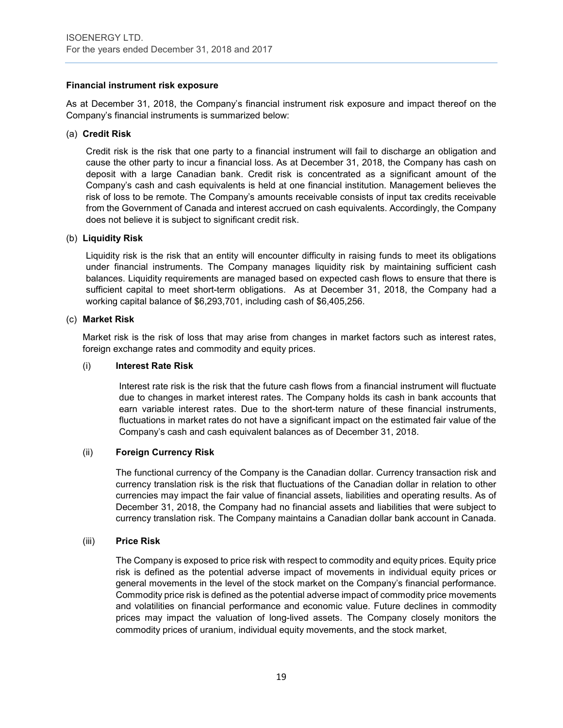#### **Financial instrument risk exposure**

As at December 31, 2018, the Company's financial instrument risk exposure and impact thereof on the Company's financial instruments is summarized below:

#### (a) **Credit Risk**

Credit risk is the risk that one party to a financial instrument will fail to discharge an obligation and cause the other party to incur a financial loss. As at December 31, 2018, the Company has cash on deposit with a large Canadian bank. Credit risk is concentrated as a significant amount of the Company's cash and cash equivalents is held at one financial institution. Management believes the risk of loss to be remote. The Company's amounts receivable consists of input tax credits receivable from the Government of Canada and interest accrued on cash equivalents. Accordingly, the Company does not believe it is subject to significant credit risk.

#### (b) **Liquidity Risk**

Liquidity risk is the risk that an entity will encounter difficulty in raising funds to meet its obligations under financial instruments. The Company manages liquidity risk by maintaining sufficient cash balances. Liquidity requirements are managed based on expected cash flows to ensure that there is sufficient capital to meet short-term obligations. As at December 31, 2018, the Company had a working capital balance of \$6,293,701, including cash of \$6,405,256.

### (c) **Market Risk**

Market risk is the risk of loss that may arise from changes in market factors such as interest rates, foreign exchange rates and commodity and equity prices.

#### (i) **Interest Rate Risk**

Interest rate risk is the risk that the future cash flows from a financial instrument will fluctuate due to changes in market interest rates. The Company holds its cash in bank accounts that earn variable interest rates. Due to the short-term nature of these financial instruments, fluctuations in market rates do not have a significant impact on the estimated fair value of the Company's cash and cash equivalent balances as of December 31, 2018.

## (ii) **Foreign Currency Risk**

The functional currency of the Company is the Canadian dollar. Currency transaction risk and currency translation risk is the risk that fluctuations of the Canadian dollar in relation to other currencies may impact the fair value of financial assets, liabilities and operating results. As of December 31, 2018, the Company had no financial assets and liabilities that were subject to currency translation risk. The Company maintains a Canadian dollar bank account in Canada.

#### (iii) **Price Risk**

The Company is exposed to price risk with respect to commodity and equity prices. Equity price risk is defined as the potential adverse impact of movements in individual equity prices or general movements in the level of the stock market on the Company's financial performance. Commodity price risk is defined as the potential adverse impact of commodity price movements and volatilities on financial performance and economic value. Future declines in commodity prices may impact the valuation of long-lived assets. The Company closely monitors the commodity prices of uranium, individual equity movements, and the stock market.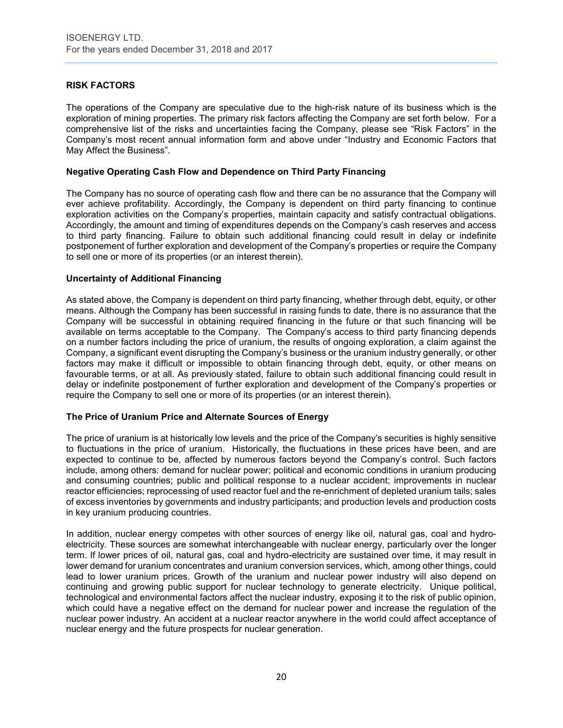## **RISK FACTORS**

The operations of the Company are speculative due to the high-risk nature of its business which is the exploration of mining properties. The primary risk factors affecting the Company are set forth below. For a comprehensive list of the risks and uncertainties facing the Company, please see "Risk Factors" in the Company's most recent annual information form and above under "Industry and Economic Factors that May Affect the Business".

#### **Negative Operating Cash Flow and Dependence on Third Party Financing**

The Company has no source of operating cash flow and there can be no assurance that the Company will ever achieve profitability. Accordingly, the Company is dependent on third party financing to continue exploration activities on the Company's properties, maintain capacity and satisfy contractual obligations. Accordingly, the amount and timing of expenditures depends on the Company's cash reserves and access to third party financing. Failure to obtain such additional financing could result in delay or indefinite postponement of further exploration and development of the Company's properties or require the Company to sell one or more of its properties (or an interest therein).

### **Uncertainty of Additional Financing**

As stated above, the Company is dependent on third party financing, whether through debt, equity, or other means. Although the Company has been successful in raising funds to date, there is no assurance that the Company will be successful in obtaining required financing in the future or that such financing will be available on terms acceptable to the Company. The Company's access to third party financing depends on a number factors including the price of uranium, the results of ongoing exploration, a claim against the Company, a significant event disrupting the Company's business or the uranium industry generally, or other factors may make it difficult or impossible to obtain financing through debt, equity, or other means on favourable terms, or at all. As previously stated, failure to obtain such additional financing could result in delay or indefinite postponement of further exploration and development of the Company's properties or require the Company to sell one or more of its properties (or an interest therein).

#### **The Price of Uranium Price and Alternate Sources of Energy**

The price of uranium is at historically low levels and the price of the Company's securities is highly sensitive to fluctuations in the price of uranium. Historically, the fluctuations in these prices have been, and are expected to continue to be, affected by numerous factors beyond the Company's control. Such factors include, among others: demand for nuclear power; political and economic conditions in uranium producing and consuming countries; public and political response to a nuclear accident; improvements in nuclear reactor efficiencies; reprocessing of used reactor fuel and the re-enrichment of depleted uranium tails; sales of excess inventories by governments and industry participants; and production levels and production costs in key uranium producing countries.

In addition, nuclear energy competes with other sources of energy like oil, natural gas, coal and hydroelectricity. These sources are somewhat interchangeable with nuclear energy, particularly over the longer term. If lower prices of oil, natural gas, coal and hydro-electricity are sustained over time, it may result in lower demand for uranium concentrates and uranium conversion services, which, among other things, could lead to lower uranium prices. Growth of the uranium and nuclear power industry will also depend on continuing and growing public support for nuclear technology to generate electricity. Unique political, technological and environmental factors affect the nuclear industry, exposing it to the risk of public opinion, which could have a negative effect on the demand for nuclear power and increase the regulation of the nuclear power industry. An accident at a nuclear reactor anywhere in the world could affect acceptance of nuclear energy and the future prospects for nuclear generation.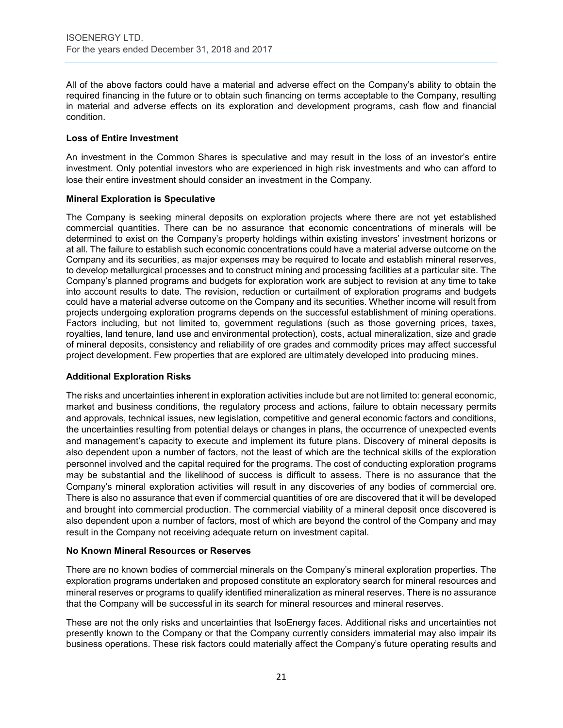All of the above factors could have a material and adverse effect on the Company's ability to obtain the required financing in the future or to obtain such financing on terms acceptable to the Company, resulting in material and adverse effects on its exploration and development programs, cash flow and financial condition.

### **Loss of Entire Investment**

An investment in the Common Shares is speculative and may result in the loss of an investor's entire investment. Only potential investors who are experienced in high risk investments and who can afford to lose their entire investment should consider an investment in the Company.

### **Mineral Exploration is Speculative**

The Company is seeking mineral deposits on exploration projects where there are not yet established commercial quantities. There can be no assurance that economic concentrations of minerals will be determined to exist on the Company's property holdings within existing investors' investment horizons or at all. The failure to establish such economic concentrations could have a material adverse outcome on the Company and its securities, as major expenses may be required to locate and establish mineral reserves, to develop metallurgical processes and to construct mining and processing facilities at a particular site. The Company's planned programs and budgets for exploration work are subject to revision at any time to take into account results to date. The revision, reduction or curtailment of exploration programs and budgets could have a material adverse outcome on the Company and its securities. Whether income will result from projects undergoing exploration programs depends on the successful establishment of mining operations. Factors including, but not limited to, government regulations (such as those governing prices, taxes, royalties, land tenure, land use and environmental protection), costs, actual mineralization, size and grade of mineral deposits, consistency and reliability of ore grades and commodity prices may affect successful project development. Few properties that are explored are ultimately developed into producing mines.

## **Additional Exploration Risks**

The risks and uncertainties inherent in exploration activities include but are not limited to: general economic, market and business conditions, the regulatory process and actions, failure to obtain necessary permits and approvals, technical issues, new legislation, competitive and general economic factors and conditions, the uncertainties resulting from potential delays or changes in plans, the occurrence of unexpected events and management's capacity to execute and implement its future plans. Discovery of mineral deposits is also dependent upon a number of factors, not the least of which are the technical skills of the exploration personnel involved and the capital required for the programs. The cost of conducting exploration programs may be substantial and the likelihood of success is difficult to assess. There is no assurance that the Company's mineral exploration activities will result in any discoveries of any bodies of commercial ore. There is also no assurance that even if commercial quantities of ore are discovered that it will be developed and brought into commercial production. The commercial viability of a mineral deposit once discovered is also dependent upon a number of factors, most of which are beyond the control of the Company and may result in the Company not receiving adequate return on investment capital.

#### **No Known Mineral Resources or Reserves**

There are no known bodies of commercial minerals on the Company's mineral exploration properties. The exploration programs undertaken and proposed constitute an exploratory search for mineral resources and mineral reserves or programs to qualify identified mineralization as mineral reserves. There is no assurance that the Company will be successful in its search for mineral resources and mineral reserves.

These are not the only risks and uncertainties that IsoEnergy faces. Additional risks and uncertainties not presently known to the Company or that the Company currently considers immaterial may also impair its business operations. These risk factors could materially affect the Company's future operating results and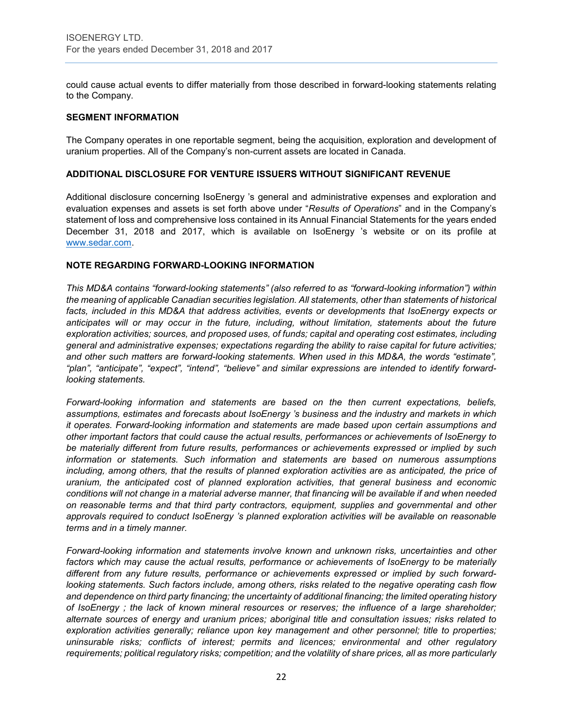could cause actual events to differ materially from those described in forward-looking statements relating to the Company.

### **SEGMENT INFORMATION**

The Company operates in one reportable segment, being the acquisition, exploration and development of uranium properties. All of the Company's non-current assets are located in Canada.

## **ADDITIONAL DISCLOSURE FOR VENTURE ISSUERS WITHOUT SIGNIFICANT REVENUE**

Additional disclosure concerning IsoEnergy 's general and administrative expenses and exploration and evaluation expenses and assets is set forth above under "*Results of Operations*" and in the Company's statement of loss and comprehensive loss contained in its Annual Financial Statements for the years ended December 31, 2018 and 2017, which is available on IsoEnergy 's website or on its profile at [www.sedar.com.](http://www.sedar.com/)

### **NOTE REGARDING FORWARD-LOOKING INFORMATION**

*This MD&A contains "forward-looking statements" (also referred to as "forward-looking information") within the meaning of applicable Canadian securities legislation. All statements, other than statements of historical facts, included in this MD&A that address activities, events or developments that IsoEnergy expects or anticipates will or may occur in the future, including, without limitation, statements about the future exploration activities; sources, and proposed uses, of funds; capital and operating cost estimates, including general and administrative expenses; expectations regarding the ability to raise capital for future activities; and other such matters are forward-looking statements. When used in this MD&A, the words "estimate", "plan", "anticipate", "expect", "intend", "believe" and similar expressions are intended to identify forwardlooking statements.* 

*Forward-looking information and statements are based on the then current expectations, beliefs, assumptions, estimates and forecasts about IsoEnergy 's business and the industry and markets in which it operates. Forward-looking information and statements are made based upon certain assumptions and other important factors that could cause the actual results, performances or achievements of IsoEnergy to be materially different from future results, performances or achievements expressed or implied by such information or statements. Such information and statements are based on numerous assumptions including, among others, that the results of planned exploration activities are as anticipated, the price of uranium, the anticipated cost of planned exploration activities, that general business and economic conditions will not change in a material adverse manner, that financing will be available if and when needed on reasonable terms and that third party contractors, equipment, supplies and governmental and other approvals required to conduct IsoEnergy 's planned exploration activities will be available on reasonable terms and in a timely manner.* 

*Forward-looking information and statements involve known and unknown risks, uncertainties and other factors which may cause the actual results, performance or achievements of IsoEnergy to be materially different from any future results, performance or achievements expressed or implied by such forwardlooking statements. Such factors include, among others, risks related to the negative operating cash flow and dependence on third party financing; the uncertainty of additional financing; the limited operating history of IsoEnergy ; the lack of known mineral resources or reserves; the influence of a large shareholder; alternate sources of energy and uranium prices; aboriginal title and consultation issues; risks related to exploration activities generally; reliance upon key management and other personnel; title to properties; uninsurable risks; conflicts of interest; permits and licences; environmental and other regulatory requirements; political regulatory risks; competition; and the volatility of share prices, all as more particularly*